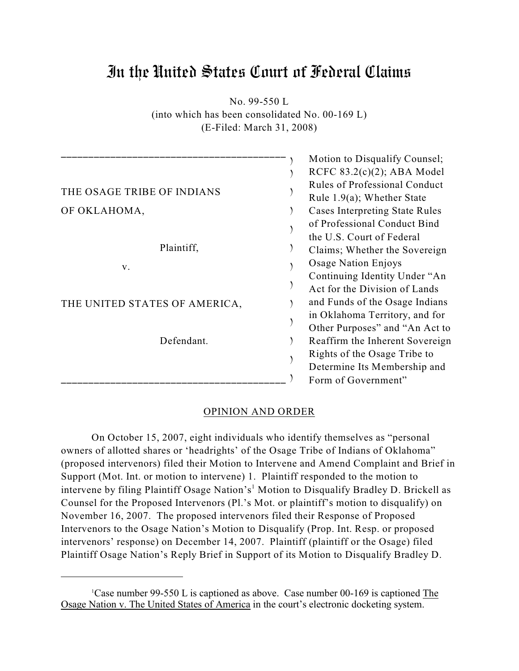# In the United States Court of Federal Claims

No. 99-550 L

(into which has been consolidated No. 00-169 L) (E-Filed: March 31, 2008)

| THE OSAGE TRIBE OF INDIANS<br>OF OKLAHOMA,<br>Plaintiff,<br>V.<br>THE UNITED STATES OF AMERICA,<br>Defendant. | Motion to Disqualify Counsel;<br>RCFC $83.2(c)(2)$ ; ABA Model<br><b>Rules of Professional Conduct</b><br>Rule $1.9(a)$ ; Whether State<br><b>Cases Interpreting State Rules</b><br>of Professional Conduct Bind<br>the U.S. Court of Federal<br>Claims; Whether the Sovereign<br>Osage Nation Enjoys<br>Continuing Identity Under "An<br>Act for the Division of Lands<br>and Funds of the Osage Indians<br>in Oklahoma Territory, and for<br>Other Purposes" and "An Act to<br>Reaffirm the Inherent Sovereign<br>Rights of the Osage Tribe to |
|---------------------------------------------------------------------------------------------------------------|--------------------------------------------------------------------------------------------------------------------------------------------------------------------------------------------------------------------------------------------------------------------------------------------------------------------------------------------------------------------------------------------------------------------------------------------------------------------------------------------------------------------------------------------------|
|                                                                                                               | Determine Its Membership and<br>Form of Government"                                                                                                                                                                                                                                                                                                                                                                                                                                                                                              |

# OPINION AND ORDER

On October 15, 2007, eight individuals who identify themselves as "personal owners of allotted shares or 'headrights' of the Osage Tribe of Indians of Oklahoma" (proposed intervenors) filed their Motion to Intervene and Amend Complaint and Brief in Support (Mot. Int. or motion to intervene) 1. Plaintiff responded to the motion to intervene by filing Plaintiff Osage Nation's<sup>1</sup> Motion to Disqualify Bradley D. Brickell as Counsel for the Proposed Intervenors (Pl.'s Mot. or plaintiff's motion to disqualify) on November 16, 2007. The proposed intervenors filed their Response of Proposed Intervenors to the Osage Nation's Motion to Disqualify (Prop. Int. Resp. or proposed intervenors' response) on December 14, 2007. Plaintiff (plaintiff or the Osage) filed Plaintiff Osage Nation's Reply Brief in Support of its Motion to Disqualify Bradley D.

<sup>&</sup>lt;sup>1</sup>Case number 99-550 L is captioned as above. Case number 00-169 is captioned The Osage Nation v. The United States of America in the court's electronic docketing system.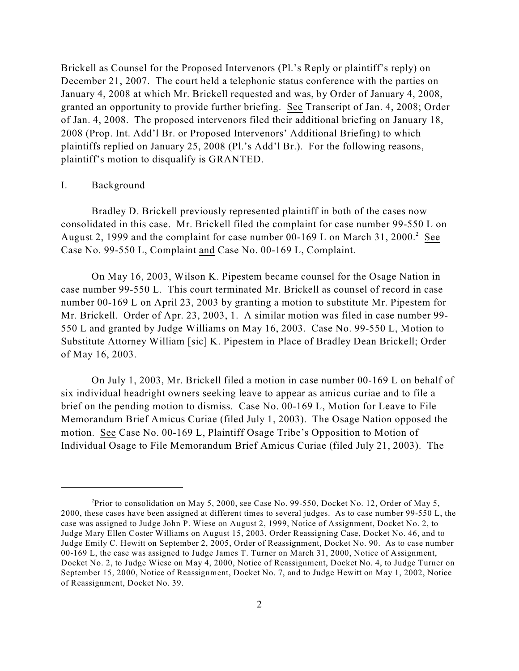Brickell as Counsel for the Proposed Intervenors (Pl.'s Reply or plaintiff's reply) on December 21, 2007. The court held a telephonic status conference with the parties on January 4, 2008 at which Mr. Brickell requested and was, by Order of January 4, 2008, granted an opportunity to provide further briefing. See Transcript of Jan. 4, 2008; Order of Jan. 4, 2008. The proposed intervenors filed their additional briefing on January 18, 2008 (Prop. Int. Add'l Br. or Proposed Intervenors' Additional Briefing) to which plaintiffs replied on January 25, 2008 (Pl.'s Add'l Br.). For the following reasons, plaintiff's motion to disqualify is GRANTED.

#### I. Background

Bradley D. Brickell previously represented plaintiff in both of the cases now consolidated in this case. Mr. Brickell filed the complaint for case number 99-550 L on August 2, 1999 and the complaint for case number 00-169 L on March 31, 2000.<sup>2</sup> See Case No. 99-550 L, Complaint and Case No. 00-169 L, Complaint.

On May 16, 2003, Wilson K. Pipestem became counsel for the Osage Nation in case number 99-550 L. This court terminated Mr. Brickell as counsel of record in case number 00-169 L on April 23, 2003 by granting a motion to substitute Mr. Pipestem for Mr. Brickell. Order of Apr. 23, 2003, 1. A similar motion was filed in case number 99- 550 L and granted by Judge Williams on May 16, 2003. Case No. 99-550 L, Motion to Substitute Attorney William [sic] K. Pipestem in Place of Bradley Dean Brickell; Order of May 16, 2003.

On July 1, 2003, Mr. Brickell filed a motion in case number 00-169 L on behalf of six individual headright owners seeking leave to appear as amicus curiae and to file a brief on the pending motion to dismiss. Case No. 00-169 L, Motion for Leave to File Memorandum Brief Amicus Curiae (filed July 1, 2003). The Osage Nation opposed the motion. See Case No. 00-169 L, Plaintiff Osage Tribe's Opposition to Motion of Individual Osage to File Memorandum Brief Amicus Curiae (filed July 21, 2003). The

<sup>&</sup>lt;sup>2</sup>Prior to consolidation on May 5, 2000, see Case No. 99-550, Docket No. 12, Order of May 5, 2000, these cases have been assigned at different times to several judges. As to case number 99-550 L, the case was assigned to Judge John P. Wiese on August 2, 1999, Notice of Assignment, Docket No. 2, to Judge Mary Ellen Coster Williams on August 15, 2003, Order Reassigning Case, Docket No. 46, and to Judge Emily C. Hewitt on September 2, 2005, Order of Reassignment, Docket No. 90. As to case number 00-169 L, the case was assigned to Judge James T. Turner on March 31, 2000, Notice of Assignment, Docket No. 2, to Judge Wiese on May 4, 2000, Notice of Reassignment, Docket No. 4, to Judge Turner on September 15, 2000, Notice of Reassignment, Docket No. 7, and to Judge Hewitt on May 1, 2002, Notice of Reassignment, Docket No. 39.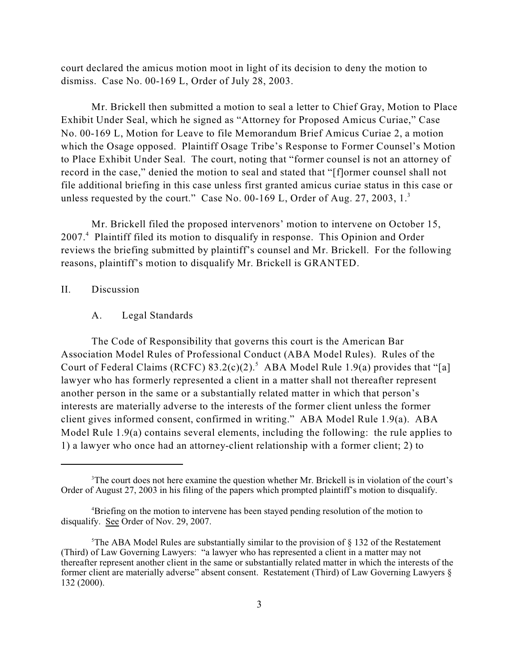court declared the amicus motion moot in light of its decision to deny the motion to dismiss. Case No. 00-169 L, Order of July 28, 2003.

Mr. Brickell then submitted a motion to seal a letter to Chief Gray, Motion to Place Exhibit Under Seal, which he signed as "Attorney for Proposed Amicus Curiae," Case No. 00-169 L, Motion for Leave to file Memorandum Brief Amicus Curiae 2, a motion which the Osage opposed. Plaintiff Osage Tribe's Response to Former Counsel's Motion to Place Exhibit Under Seal. The court, noting that "former counsel is not an attorney of record in the case," denied the motion to seal and stated that "[f]ormer counsel shall not file additional briefing in this case unless first granted amicus curiae status in this case or unless requested by the court." Case No. 00-169 L, Order of Aug. 27, 2003,  $1<sup>3</sup>$ 

Mr. Brickell filed the proposed intervenors' motion to intervene on October 15, 2007.<sup>4</sup> Plaintiff filed its motion to disqualify in response. This Opinion and Order reviews the briefing submitted by plaintiff's counsel and Mr. Brickell. For the following reasons, plaintiff's motion to disqualify Mr. Brickell is GRANTED.

## II. Discussion

#### A. Legal Standards

The Code of Responsibility that governs this court is the American Bar Association Model Rules of Professional Conduct (ABA Model Rules). Rules of the Court of Federal Claims (RCFC)  $83.2(c)(2)$ .<sup>5</sup> ABA Model Rule 1.9(a) provides that "[a] lawyer who has formerly represented a client in a matter shall not thereafter represent another person in the same or a substantially related matter in which that person's interests are materially adverse to the interests of the former client unless the former client gives informed consent, confirmed in writing." ABA Model Rule 1.9(a). ABA Model Rule 1.9(a) contains several elements, including the following: the rule applies to 1) a lawyer who once had an attorney-client relationship with a former client; 2) to

<sup>&</sup>lt;sup>3</sup>The court does not here examine the question whether Mr. Brickell is in violation of the court's Order of August 27, 2003 in his filing of the papers which prompted plaintiff's motion to disqualify.

<sup>&</sup>lt;sup>4</sup>Briefing on the motion to intervene has been stayed pending resolution of the motion to disqualify. See Order of Nov. 29, 2007.

 $5$ The ABA Model Rules are substantially similar to the provision of § 132 of the Restatement (Third) of Law Governing Lawyers: "a lawyer who has represented a client in a matter may not thereafter represent another client in the same or substantially related matter in which the interests of the former client are materially adverse" absent consent. Restatement (Third) of Law Governing Lawyers § 132 (2000).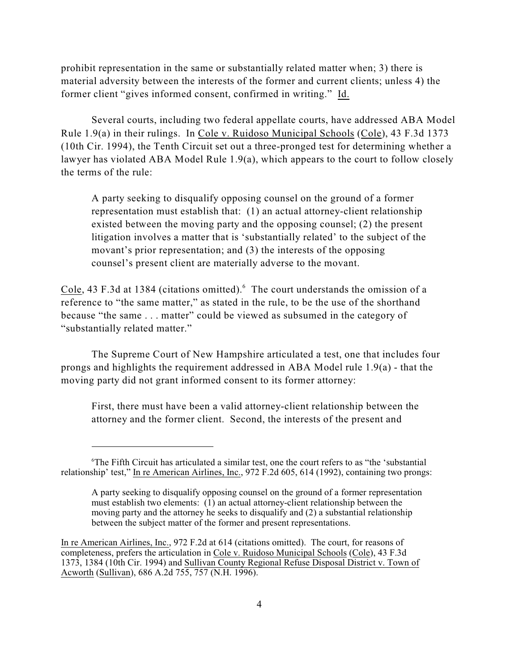prohibit representation in the same or substantially related matter when; 3) there is material adversity between the interests of the former and current clients; unless 4) the former client "gives informed consent, confirmed in writing." Id.

Several courts, including two federal appellate courts, have addressed ABA Model Rule 1.9(a) in their rulings. In Cole v. Ruidoso Municipal Schools (Cole), 43 F.3d 1373 (10th Cir. 1994), the Tenth Circuit set out a three-pronged test for determining whether a lawyer has violated ABA Model Rule 1.9(a), which appears to the court to follow closely the terms of the rule:

A party seeking to disqualify opposing counsel on the ground of a former representation must establish that: (1) an actual attorney-client relationship existed between the moving party and the opposing counsel; (2) the present litigation involves a matter that is 'substantially related' to the subject of the movant's prior representation; and (3) the interests of the opposing counsel's present client are materially adverse to the movant.

Cole, 43 F.3d at 1384 (citations omitted). <sup>6</sup> The court understands the omission of a reference to "the same matter," as stated in the rule, to be the use of the shorthand because "the same . . . matter" could be viewed as subsumed in the category of "substantially related matter."

The Supreme Court of New Hampshire articulated a test, one that includes four prongs and highlights the requirement addressed in ABA Model rule 1.9(a) - that the moving party did not grant informed consent to its former attorney:

First, there must have been a valid attorney-client relationship between the attorney and the former client. Second, the interests of the present and

 ${}^6$ The Fifth Circuit has articulated a similar test, one the court refers to as "the 'substantial" relationship' test," In re American Airlines, Inc., 972 F.2d 605, 614 (1992), containing two prongs:

A party seeking to disqualify opposing counsel on the ground of a former representation must establish two elements: (1) an actual attorney-client relationship between the moving party and the attorney he seeks to disqualify and (2) a substantial relationship between the subject matter of the former and present representations.

In re American Airlines, Inc., 972 F.2d at 614 (citations omitted). The court, for reasons of completeness, prefers the articulation in Cole v. Ruidoso Municipal Schools (Cole), 43 F.3d 1373, 1384 (10th Cir. 1994) and Sullivan County Regional Refuse Disposal District v. Town of Acworth (Sullivan), 686 A.2d 755, 757 (N.H. 1996).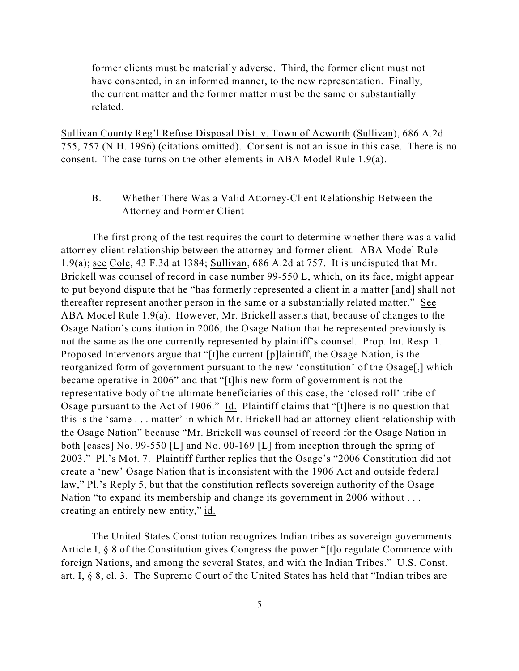former clients must be materially adverse. Third, the former client must not have consented, in an informed manner, to the new representation. Finally, the current matter and the former matter must be the same or substantially related.

Sullivan County Reg'l Refuse Disposal Dist. v. Town of Acworth (Sullivan), 686 A.2d 755, 757 (N.H. 1996) (citations omitted). Consent is not an issue in this case. There is no consent. The case turns on the other elements in ABA Model Rule 1.9(a).

B. Whether There Was a Valid Attorney-Client Relationship Between the Attorney and Former Client

The first prong of the test requires the court to determine whether there was a valid attorney-client relationship between the attorney and former client. ABA Model Rule 1.9(a); see Cole, 43 F.3d at 1384; Sullivan, 686 A.2d at 757. It is undisputed that Mr. Brickell was counsel of record in case number 99-550 L, which, on its face, might appear to put beyond dispute that he "has formerly represented a client in a matter [and] shall not thereafter represent another person in the same or a substantially related matter." See ABA Model Rule 1.9(a). However, Mr. Brickell asserts that, because of changes to the Osage Nation's constitution in 2006, the Osage Nation that he represented previously is not the same as the one currently represented by plaintiff's counsel. Prop. Int. Resp. 1. Proposed Intervenors argue that "[t]he current [p]laintiff, the Osage Nation, is the reorganized form of government pursuant to the new 'constitution' of the Osage[,] which became operative in 2006" and that "[t]his new form of government is not the representative body of the ultimate beneficiaries of this case, the 'closed roll' tribe of Osage pursuant to the Act of 1906." Id. Plaintiff claims that "[t]here is no question that this is the 'same . . . matter' in which Mr. Brickell had an attorney-client relationship with the Osage Nation" because "Mr. Brickell was counsel of record for the Osage Nation in both [cases] No. 99-550 [L] and No. 00-169 [L] from inception through the spring of 2003." Pl.'s Mot. 7. Plaintiff further replies that the Osage's "2006 Constitution did not create a 'new' Osage Nation that is inconsistent with the 1906 Act and outside federal law," Pl.'s Reply 5, but that the constitution reflects sovereign authority of the Osage Nation "to expand its membership and change its government in 2006 without . . . creating an entirely new entity," id.

The United States Constitution recognizes Indian tribes as sovereign governments. Article I, § 8 of the Constitution gives Congress the power "[t]o regulate Commerce with foreign Nations, and among the several States, and with the Indian Tribes." U.S. Const. art. I, § 8, cl. 3. The Supreme Court of the United States has held that "Indian tribes are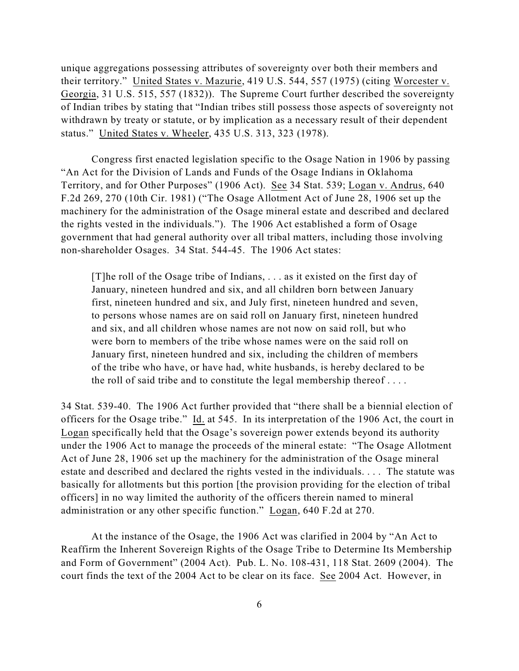unique aggregations possessing attributes of sovereignty over both their members and their territory." United States v. Mazurie, 419 U.S. 544, 557 (1975) (citing Worcester v. Georgia, 31 U.S. 515, 557 (1832)). The Supreme Court further described the sovereignty of Indian tribes by stating that "Indian tribes still possess those aspects of sovereignty not withdrawn by treaty or statute, or by implication as a necessary result of their dependent status." United States v. Wheeler, 435 U.S. 313, 323 (1978).

Congress first enacted legislation specific to the Osage Nation in 1906 by passing "An Act for the Division of Lands and Funds of the Osage Indians in Oklahoma Territory, and for Other Purposes" (1906 Act). See 34 Stat. 539; Logan v. Andrus, 640 F.2d 269, 270 (10th Cir. 1981) ("The Osage Allotment Act of June 28, 1906 set up the machinery for the administration of the Osage mineral estate and described and declared the rights vested in the individuals."). The 1906 Act established a form of Osage government that had general authority over all tribal matters, including those involving non-shareholder Osages. 34 Stat. 544-45. The 1906 Act states:

[T]he roll of the Osage tribe of Indians, . . . as it existed on the first day of January, nineteen hundred and six, and all children born between January first, nineteen hundred and six, and July first, nineteen hundred and seven, to persons whose names are on said roll on January first, nineteen hundred and six, and all children whose names are not now on said roll, but who were born to members of the tribe whose names were on the said roll on January first, nineteen hundred and six, including the children of members of the tribe who have, or have had, white husbands, is hereby declared to be the roll of said tribe and to constitute the legal membership thereof  $\dots$ 

34 Stat. 539-40. The 1906 Act further provided that "there shall be a biennial election of officers for the Osage tribe." Id. at 545. In its interpretation of the 1906 Act, the court in Logan specifically held that the Osage's sovereign power extends beyond its authority under the 1906 Act to manage the proceeds of the mineral estate: "The Osage Allotment Act of June 28, 1906 set up the machinery for the administration of the Osage mineral estate and described and declared the rights vested in the individuals. . . . The statute was basically for allotments but this portion [the provision providing for the election of tribal officers] in no way limited the authority of the officers therein named to mineral administration or any other specific function." Logan, 640 F.2d at 270.

At the instance of the Osage, the 1906 Act was clarified in 2004 by "An Act to Reaffirm the Inherent Sovereign Rights of the Osage Tribe to Determine Its Membership and Form of Government" (2004 Act). Pub. L. No. 108-431, 118 Stat. 2609 (2004). The court finds the text of the 2004 Act to be clear on its face. See 2004 Act. However, in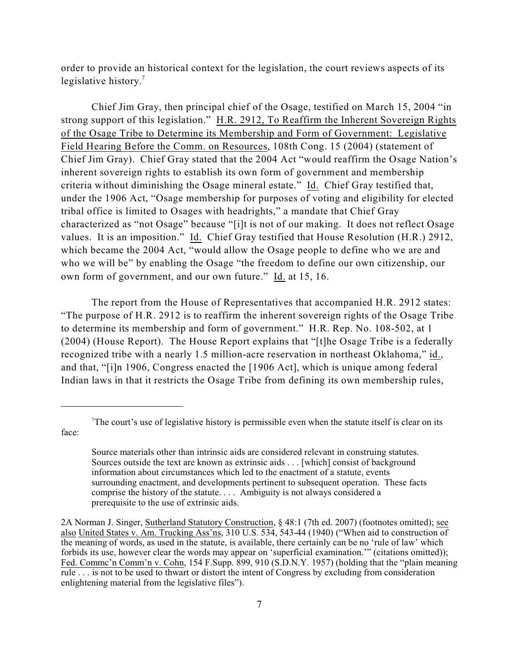order to provide an historical context for the legislation, the court reviews aspects of its legislative history.<sup>7</sup>

Chief Jim Gray, then principal chief of the Osage, testified on March 15, 2004 "in strong support of this legislation." H.R. 2912, To Reaffirm the Inherent Sovereign Rights of the Osage Tribe to Determine its Membership and Form of Government: Legislative Field Hearing Before the Comm. on Resources, 108th Cong. 15 (2004) (statement of Chief Jim Gray). Chief Gray stated that the 2004 Act "would reaffirm the Osage Nation's inherent sovereign rights to establish its own form of government and membership criteria without diminishing the Osage mineral estate." Id. Chief Gray testified that, under the 1906 Act, "Osage membership for purposes of voting and eligibility for elected tribal office is limited to Osages with headrights," a mandate that Chief Gray characterized as "not Osage" because "[i]t is not of our making. It does not reflect Osage values. It is an imposition." Id. Chief Gray testified that House Resolution (H.R.) 2912, which became the 2004 Act, "would allow the Osage people to define who we are and who we will be" by enabling the Osage "the freedom to define our own citizenship, our own form of government, and our own future." Id. at 15, 16.

The report from the House of Representatives that accompanied H.R. 2912 states: "The purpose of H.R. 2912 is to reaffirm the inherent sovereign rights of the Osage Tribe to determine its membership and form of government." H.R. Rep. No. 108-502, at 1 (2004) (House Report). The House Report explains that "[t]he Osage Tribe is a federally recognized tribe with a nearly 1.5 million-acre reservation in northeast Oklahoma," id., and that, "[i]n 1906, Congress enacted the [1906 Act], which is unique among federal Indian laws in that it restricts the Osage Tribe from defining its own membership rules,

The court's use of legislative history is permissible even when the statute itself is clear on its face:

Source materials other than intrinsic aids are considered relevant in construing statutes. Sources outside the text are known as extrinsic aids . . . [which] consist of background information about circumstances which led to the enactment of a statute, events surrounding enactment, and developments pertinent to subsequent operation. These facts comprise the history of the statute. . . . Ambiguity is not always considered a prerequisite to the use of extrinsic aids.

<sup>2</sup>A Norman J. Singer, Sutherland Statutory Construction, § 48:1 (7th ed. 2007) (footnotes omitted); see also United States v. Am. Trucking Ass'ns, 310 U.S. 534, 543-44 (1940) ("When aid to construction of the meaning of words, as used in the statute, is available, there certainly can be no 'rule of law' which forbids its use, however clear the words may appear on 'superficial examination.'" (citations omitted)); Fed. Commc'n Comm'n v. Cohn, 154 F.Supp. 899, 910 (S.D.N.Y. 1957) (holding that the "plain meaning rule . . . is not to be used to thwart or distort the intent of Congress by excluding from consideration enlightening material from the legislative files").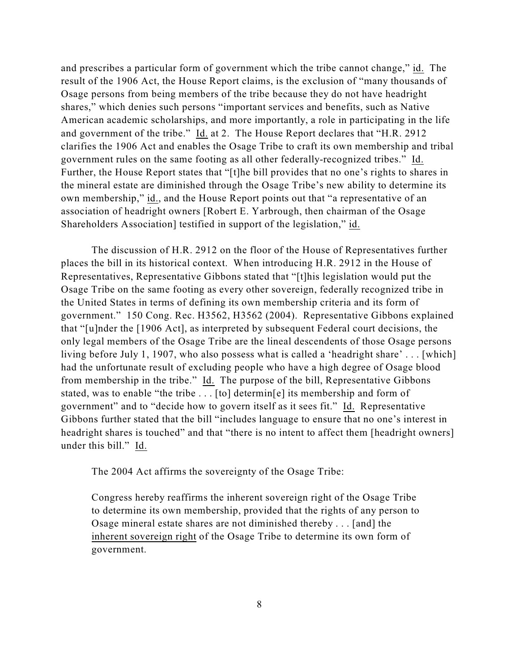and prescribes a particular form of government which the tribe cannot change," id. The result of the 1906 Act, the House Report claims, is the exclusion of "many thousands of Osage persons from being members of the tribe because they do not have headright shares," which denies such persons "important services and benefits, such as Native American academic scholarships, and more importantly, a role in participating in the life and government of the tribe." Id. at 2. The House Report declares that "H.R. 2912 clarifies the 1906 Act and enables the Osage Tribe to craft its own membership and tribal government rules on the same footing as all other federally-recognized tribes." Id. Further, the House Report states that "[t]he bill provides that no one's rights to shares in the mineral estate are diminished through the Osage Tribe's new ability to determine its own membership," id., and the House Report points out that "a representative of an association of headright owners [Robert E. Yarbrough, then chairman of the Osage Shareholders Association] testified in support of the legislation," id.

The discussion of H.R. 2912 on the floor of the House of Representatives further places the bill in its historical context. When introducing H.R. 2912 in the House of Representatives, Representative Gibbons stated that "[t]his legislation would put the Osage Tribe on the same footing as every other sovereign, federally recognized tribe in the United States in terms of defining its own membership criteria and its form of government." 150 Cong. Rec. H3562, H3562 (2004). Representative Gibbons explained that "[u]nder the [1906 Act], as interpreted by subsequent Federal court decisions, the only legal members of the Osage Tribe are the lineal descendents of those Osage persons living before July 1, 1907, who also possess what is called a 'headright share' . . . [which] had the unfortunate result of excluding people who have a high degree of Osage blood from membership in the tribe." Id. The purpose of the bill, Representative Gibbons stated, was to enable "the tribe . . . [to] determin[e] its membership and form of government" and to "decide how to govern itself as it sees fit." Id. Representative Gibbons further stated that the bill "includes language to ensure that no one's interest in headright shares is touched" and that "there is no intent to affect them [headright owners] under this bill." Id.

The 2004 Act affirms the sovereignty of the Osage Tribe:

Congress hereby reaffirms the inherent sovereign right of the Osage Tribe to determine its own membership, provided that the rights of any person to Osage mineral estate shares are not diminished thereby . . . [and] the inherent sovereign right of the Osage Tribe to determine its own form of government.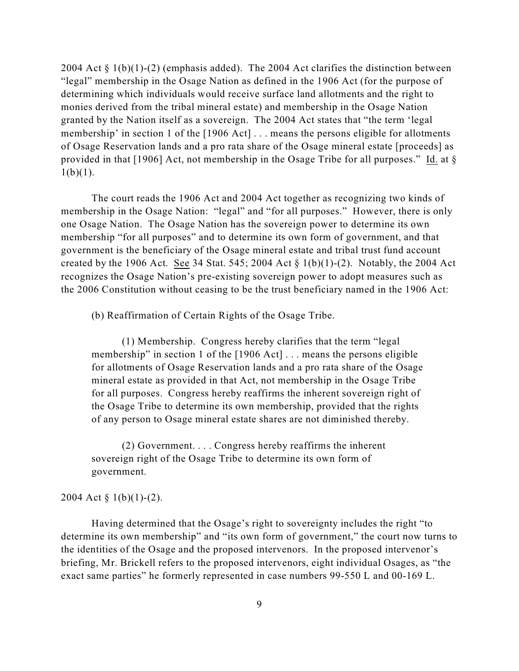2004 Act  $\S 1(b)(1)-(2)$  (emphasis added). The 2004 Act clarifies the distinction between "legal" membership in the Osage Nation as defined in the 1906 Act (for the purpose of determining which individuals would receive surface land allotments and the right to monies derived from the tribal mineral estate) and membership in the Osage Nation granted by the Nation itself as a sovereign. The 2004 Act states that "the term 'legal membership' in section 1 of the [1906 Act] . . . means the persons eligible for allotments of Osage Reservation lands and a pro rata share of the Osage mineral estate [proceeds] as provided in that [1906] Act, not membership in the Osage Tribe for all purposes." Id. at §  $1(b)(1)$ .

The court reads the 1906 Act and 2004 Act together as recognizing two kinds of membership in the Osage Nation: "legal" and "for all purposes." However, there is only one Osage Nation. The Osage Nation has the sovereign power to determine its own membership "for all purposes" and to determine its own form of government, and that government is the beneficiary of the Osage mineral estate and tribal trust fund account created by the 1906 Act. See 34 Stat. 545; 2004 Act  $\S 1(b)(1)-(2)$ . Notably, the 2004 Act recognizes the Osage Nation's pre-existing sovereign power to adopt measures such as the 2006 Constitution without ceasing to be the trust beneficiary named in the 1906 Act:

(b) Reaffirmation of Certain Rights of the Osage Tribe.

(1) Membership. Congress hereby clarifies that the term "legal membership" in section 1 of the [1906 Act] . . . means the persons eligible for allotments of Osage Reservation lands and a pro rata share of the Osage mineral estate as provided in that Act, not membership in the Osage Tribe for all purposes. Congress hereby reaffirms the inherent sovereign right of the Osage Tribe to determine its own membership, provided that the rights of any person to Osage mineral estate shares are not diminished thereby.

(2) Government. . . . Congress hereby reaffirms the inherent sovereign right of the Osage Tribe to determine its own form of government.

## 2004 Act § 1(b)(1)-(2).

Having determined that the Osage's right to sovereignty includes the right "to determine its own membership" and "its own form of government," the court now turns to the identities of the Osage and the proposed intervenors. In the proposed intervenor's briefing, Mr. Brickell refers to the proposed intervenors, eight individual Osages, as "the exact same parties" he formerly represented in case numbers 99-550 L and 00-169 L.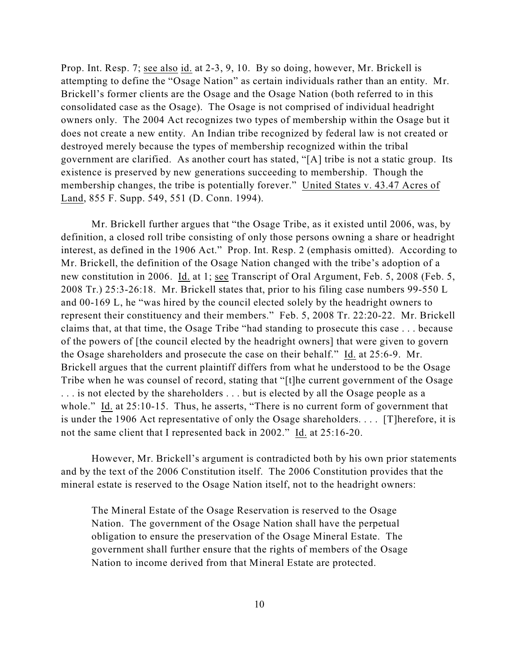Prop. Int. Resp. 7; see also id. at 2-3, 9, 10. By so doing, however, Mr. Brickell is attempting to define the "Osage Nation" as certain individuals rather than an entity. Mr. Brickell's former clients are the Osage and the Osage Nation (both referred to in this consolidated case as the Osage). The Osage is not comprised of individual headright owners only. The 2004 Act recognizes two types of membership within the Osage but it does not create a new entity. An Indian tribe recognized by federal law is not created or destroyed merely because the types of membership recognized within the tribal government are clarified. As another court has stated, "[A] tribe is not a static group. Its existence is preserved by new generations succeeding to membership. Though the membership changes, the tribe is potentially forever." United States v. 43.47 Acres of Land, 855 F. Supp. 549, 551 (D. Conn. 1994).

Mr. Brickell further argues that "the Osage Tribe, as it existed until 2006, was, by definition, a closed roll tribe consisting of only those persons owning a share or headright interest, as defined in the 1906 Act." Prop. Int. Resp. 2 (emphasis omitted). According to Mr. Brickell, the definition of the Osage Nation changed with the tribe's adoption of a new constitution in 2006. Id. at 1; see Transcript of Oral Argument, Feb. 5, 2008 (Feb. 5, 2008 Tr.) 25:3-26:18. Mr. Brickell states that, prior to his filing case numbers 99-550 L and 00-169 L, he "was hired by the council elected solely by the headright owners to represent their constituency and their members." Feb. 5, 2008 Tr. 22:20-22. Mr. Brickell claims that, at that time, the Osage Tribe "had standing to prosecute this case . . . because of the powers of [the council elected by the headright owners] that were given to govern the Osage shareholders and prosecute the case on their behalf." Id. at 25:6-9. Mr. Brickell argues that the current plaintiff differs from what he understood to be the Osage Tribe when he was counsel of record, stating that "[t]he current government of the Osage . . . is not elected by the shareholders . . . but is elected by all the Osage people as a whole." Id. at 25:10-15. Thus, he asserts, "There is no current form of government that is under the 1906 Act representative of only the Osage shareholders. . . . [T]herefore, it is not the same client that I represented back in 2002." Id. at 25:16-20.

However, Mr. Brickell's argument is contradicted both by his own prior statements and by the text of the 2006 Constitution itself. The 2006 Constitution provides that the mineral estate is reserved to the Osage Nation itself, not to the headright owners:

The Mineral Estate of the Osage Reservation is reserved to the Osage Nation. The government of the Osage Nation shall have the perpetual obligation to ensure the preservation of the Osage Mineral Estate. The government shall further ensure that the rights of members of the Osage Nation to income derived from that Mineral Estate are protected.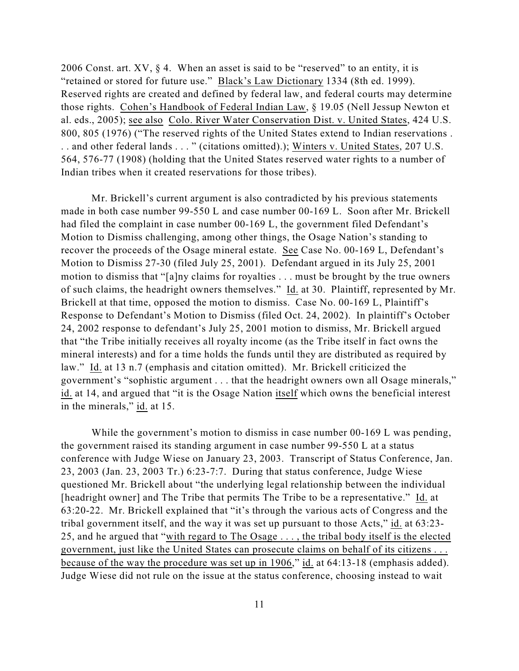2006 Const. art.  $XY$ ,  $§$  4. When an asset is said to be "reserved" to an entity, it is "retained or stored for future use." Black's Law Dictionary 1334 (8th ed. 1999). Reserved rights are created and defined by federal law, and federal courts may determine those rights. Cohen's Handbook of Federal Indian Law, § 19.05 (Nell Jessup Newton et al. eds., 2005); see also Colo. River Water Conservation Dist. v. United States, 424 U.S. 800, 805 (1976) ("The reserved rights of the United States extend to Indian reservations . . . and other federal lands . . . " (citations omitted).); Winters v. United States, 207 U.S. 564, 576-77 (1908) (holding that the United States reserved water rights to a number of Indian tribes when it created reservations for those tribes).

Mr. Brickell's current argument is also contradicted by his previous statements made in both case number 99-550 L and case number 00-169 L. Soon after Mr. Brickell had filed the complaint in case number 00-169 L, the government filed Defendant's Motion to Dismiss challenging, among other things, the Osage Nation's standing to recover the proceeds of the Osage mineral estate. See Case No. 00-169 L, Defendant's Motion to Dismiss 27-30 (filed July 25, 2001). Defendant argued in its July 25, 2001 motion to dismiss that "[a]ny claims for royalties . . . must be brought by the true owners of such claims, the headright owners themselves." Id. at 30. Plaintiff, represented by Mr. Brickell at that time, opposed the motion to dismiss. Case No. 00-169 L, Plaintiff's Response to Defendant's Motion to Dismiss (filed Oct. 24, 2002). In plaintiff's October 24, 2002 response to defendant's July 25, 2001 motion to dismiss, Mr. Brickell argued that "the Tribe initially receives all royalty income (as the Tribe itself in fact owns the mineral interests) and for a time holds the funds until they are distributed as required by law." Id. at 13 n.7 (emphasis and citation omitted). Mr. Brickell criticized the government's "sophistic argument . . . that the headright owners own all Osage minerals," id. at 14, and argued that "it is the Osage Nation itself which owns the beneficial interest in the minerals," id. at 15.

While the government's motion to dismiss in case number 00-169 L was pending, the government raised its standing argument in case number 99-550 L at a status conference with Judge Wiese on January 23, 2003. Transcript of Status Conference, Jan. 23, 2003 (Jan. 23, 2003 Tr.) 6:23-7:7. During that status conference, Judge Wiese questioned Mr. Brickell about "the underlying legal relationship between the individual [headright owner] and The Tribe that permits The Tribe to be a representative." Id. at 63:20-22. Mr. Brickell explained that "it's through the various acts of Congress and the tribal government itself, and the way it was set up pursuant to those Acts," id. at 63:23- 25, and he argued that "with regard to The Osage . . . , the tribal body itself is the elected government, just like the United States can prosecute claims on behalf of its citizens . . . because of the way the procedure was set up in 1906," id. at 64:13-18 (emphasis added). Judge Wiese did not rule on the issue at the status conference, choosing instead to wait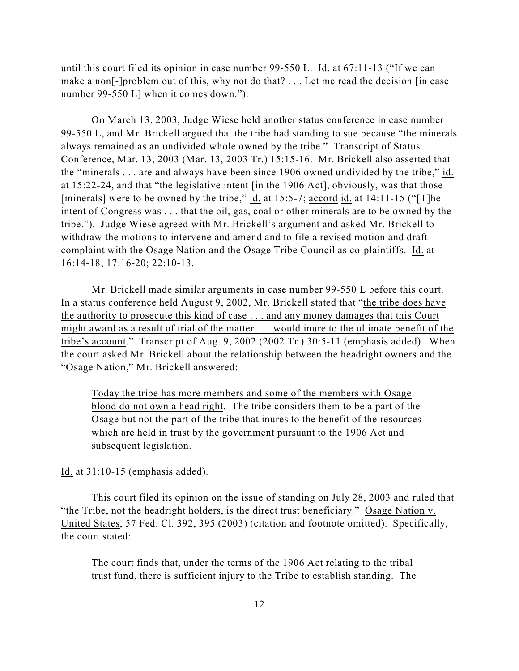until this court filed its opinion in case number 99-550 L. Id. at 67:11-13 ("If we can make a non[-]problem out of this, why not do that? . . . Let me read the decision [in case number 99-550 L] when it comes down.").

On March 13, 2003, Judge Wiese held another status conference in case number 99-550 L, and Mr. Brickell argued that the tribe had standing to sue because "the minerals always remained as an undivided whole owned by the tribe." Transcript of Status Conference, Mar. 13, 2003 (Mar. 13, 2003 Tr.) 15:15-16. Mr. Brickell also asserted that the "minerals . . . are and always have been since 1906 owned undivided by the tribe," id. at 15:22-24, and that "the legislative intent [in the 1906 Act], obviously, was that those [minerals] were to be owned by the tribe," id. at 15:5-7; accord id. at 14:11-15 ("[T]he intent of Congress was . . . that the oil, gas, coal or other minerals are to be owned by the tribe."). Judge Wiese agreed with Mr. Brickell's argument and asked Mr. Brickell to withdraw the motions to intervene and amend and to file a revised motion and draft complaint with the Osage Nation and the Osage Tribe Council as co-plaintiffs. Id. at 16:14-18; 17:16-20; 22:10-13.

Mr. Brickell made similar arguments in case number 99-550 L before this court. In a status conference held August 9, 2002, Mr. Brickell stated that "the tribe does have the authority to prosecute this kind of case . . . and any money damages that this Court might award as a result of trial of the matter . . . would inure to the ultimate benefit of the tribe's account." Transcript of Aug. 9, 2002 (2002 Tr.) 30:5-11 (emphasis added). When the court asked Mr. Brickell about the relationship between the headright owners and the "Osage Nation," Mr. Brickell answered:

Today the tribe has more members and some of the members with Osage blood do not own a head right. The tribe considers them to be a part of the Osage but not the part of the tribe that inures to the benefit of the resources which are held in trust by the government pursuant to the 1906 Act and subsequent legislation.

Id. at 31:10-15 (emphasis added).

This court filed its opinion on the issue of standing on July 28, 2003 and ruled that "the Tribe, not the headright holders, is the direct trust beneficiary." Osage Nation v. United States, 57 Fed. Cl. 392, 395 (2003) (citation and footnote omitted). Specifically, the court stated:

The court finds that, under the terms of the 1906 Act relating to the tribal trust fund, there is sufficient injury to the Tribe to establish standing. The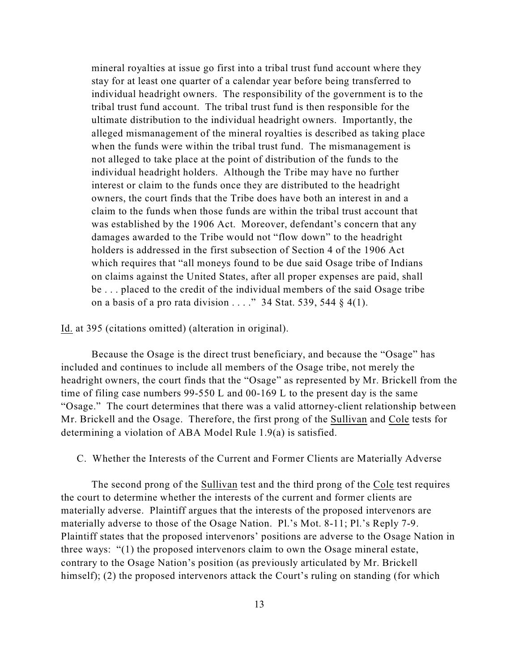mineral royalties at issue go first into a tribal trust fund account where they stay for at least one quarter of a calendar year before being transferred to individual headright owners. The responsibility of the government is to the tribal trust fund account. The tribal trust fund is then responsible for the ultimate distribution to the individual headright owners. Importantly, the alleged mismanagement of the mineral royalties is described as taking place when the funds were within the tribal trust fund. The mismanagement is not alleged to take place at the point of distribution of the funds to the individual headright holders. Although the Tribe may have no further interest or claim to the funds once they are distributed to the headright owners, the court finds that the Tribe does have both an interest in and a claim to the funds when those funds are within the tribal trust account that was established by the 1906 Act. Moreover, defendant's concern that any damages awarded to the Tribe would not "flow down" to the headright holders is addressed in the first subsection of Section 4 of the 1906 Act which requires that "all moneys found to be due said Osage tribe of Indians on claims against the United States, after all proper expenses are paid, shall be . . . placed to the credit of the individual members of the said Osage tribe on a basis of a pro rata division . . . ." 34 Stat. 539, 544  $\S$  4(1).

## Id. at 395 (citations omitted) (alteration in original).

Because the Osage is the direct trust beneficiary, and because the "Osage" has included and continues to include all members of the Osage tribe, not merely the headright owners, the court finds that the "Osage" as represented by Mr. Brickell from the time of filing case numbers 99-550 L and 00-169 L to the present day is the same "Osage." The court determines that there was a valid attorney-client relationship between Mr. Brickell and the Osage. Therefore, the first prong of the Sullivan and Cole tests for determining a violation of ABA Model Rule 1.9(a) is satisfied.

#### C. Whether the Interests of the Current and Former Clients are Materially Adverse

The second prong of the Sullivan test and the third prong of the Cole test requires the court to determine whether the interests of the current and former clients are materially adverse. Plaintiff argues that the interests of the proposed intervenors are materially adverse to those of the Osage Nation. Pl.'s Mot. 8-11; Pl.'s Reply 7-9. Plaintiff states that the proposed intervenors' positions are adverse to the Osage Nation in three ways: "(1) the proposed intervenors claim to own the Osage mineral estate, contrary to the Osage Nation's position (as previously articulated by Mr. Brickell himself); (2) the proposed intervenors attack the Court's ruling on standing (for which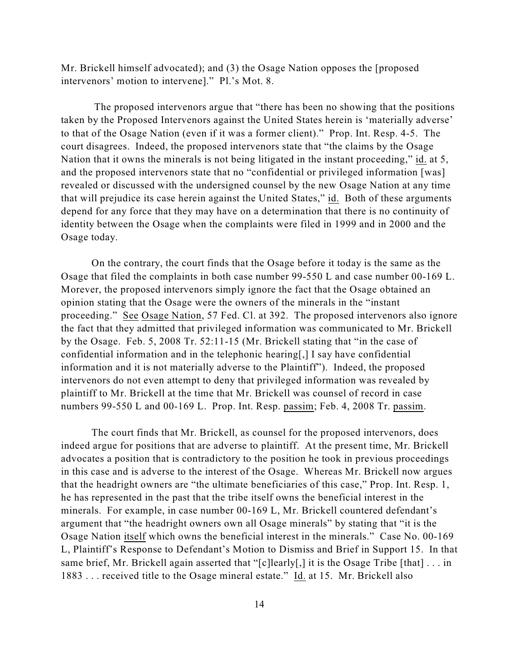Mr. Brickell himself advocated); and (3) the Osage Nation opposes the [proposed intervenors' motion to intervene]." Pl.'s Mot. 8.

 The proposed intervenors argue that "there has been no showing that the positions taken by the Proposed Intervenors against the United States herein is 'materially adverse' to that of the Osage Nation (even if it was a former client)." Prop. Int. Resp. 4-5. The court disagrees. Indeed, the proposed intervenors state that "the claims by the Osage Nation that it owns the minerals is not being litigated in the instant proceeding," id. at 5, and the proposed intervenors state that no "confidential or privileged information [was] revealed or discussed with the undersigned counsel by the new Osage Nation at any time that will prejudice its case herein against the United States," id. Both of these arguments depend for any force that they may have on a determination that there is no continuity of identity between the Osage when the complaints were filed in 1999 and in 2000 and the Osage today.

On the contrary, the court finds that the Osage before it today is the same as the Osage that filed the complaints in both case number 99-550 L and case number 00-169 L. Morever, the proposed intervenors simply ignore the fact that the Osage obtained an opinion stating that the Osage were the owners of the minerals in the "instant proceeding." See Osage Nation, 57 Fed. Cl. at 392. The proposed intervenors also ignore the fact that they admitted that privileged information was communicated to Mr. Brickell by the Osage. Feb. 5, 2008 Tr. 52:11-15 (Mr. Brickell stating that "in the case of confidential information and in the telephonic hearing[,] I say have confidential information and it is not materially adverse to the Plaintiff"). Indeed, the proposed intervenors do not even attempt to deny that privileged information was revealed by plaintiff to Mr. Brickell at the time that Mr. Brickell was counsel of record in case numbers 99-550 L and 00-169 L. Prop. Int. Resp. passim; Feb. 4, 2008 Tr. passim.

The court finds that Mr. Brickell, as counsel for the proposed intervenors, does indeed argue for positions that are adverse to plaintiff. At the present time, Mr. Brickell advocates a position that is contradictory to the position he took in previous proceedings in this case and is adverse to the interest of the Osage. Whereas Mr. Brickell now argues that the headright owners are "the ultimate beneficiaries of this case," Prop. Int. Resp. 1, he has represented in the past that the tribe itself owns the beneficial interest in the minerals. For example, in case number 00-169 L, Mr. Brickell countered defendant's argument that "the headright owners own all Osage minerals" by stating that "it is the Osage Nation itself which owns the beneficial interest in the minerals." Case No. 00-169 L, Plaintiff's Response to Defendant's Motion to Dismiss and Brief in Support 15. In that same brief, Mr. Brickell again asserted that "[c]learly[,] it is the Osage Tribe [that] . . . in 1883 . . . received title to the Osage mineral estate." Id. at 15. Mr. Brickell also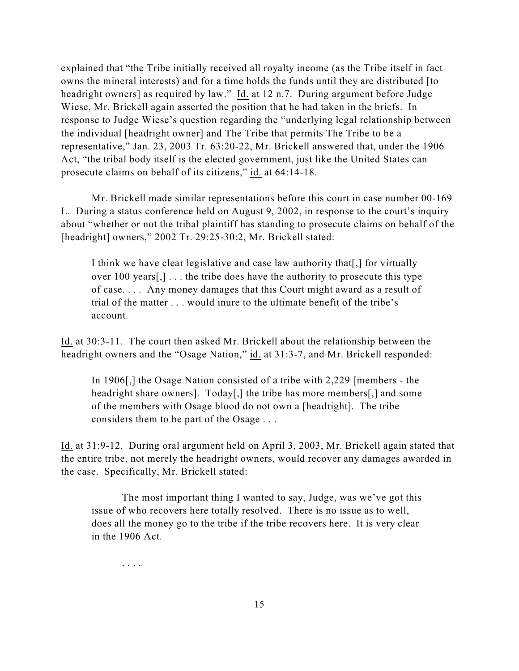explained that "the Tribe initially received all royalty income (as the Tribe itself in fact owns the mineral interests) and for a time holds the funds until they are distributed [to headright owners] as required by law." Id. at 12 n.7. During argument before Judge Wiese, Mr. Brickell again asserted the position that he had taken in the briefs. In response to Judge Wiese's question regarding the "underlying legal relationship between the individual [headright owner] and The Tribe that permits The Tribe to be a representative," Jan. 23, 2003 Tr. 63:20-22, Mr. Brickell answered that, under the 1906 Act, "the tribal body itself is the elected government, just like the United States can prosecute claims on behalf of its citizens," id. at 64:14-18.

Mr. Brickell made similar representations before this court in case number 00-169 L. During a status conference held on August 9, 2002, in response to the court's inquiry about "whether or not the tribal plaintiff has standing to prosecute claims on behalf of the [headright] owners," 2002 Tr. 29:25-30:2, Mr. Brickell stated:

I think we have clear legislative and case law authority that [,] for virtually over 100 years[,] . . . the tribe does have the authority to prosecute this type of case. . . . Any money damages that this Court might award as a result of trial of the matter . . . would inure to the ultimate benefit of the tribe's account.

Id. at 30:3-11. The court then asked Mr. Brickell about the relationship between the headright owners and the "Osage Nation," id. at 31:3-7, and Mr. Brickell responded:

In 1906[,] the Osage Nation consisted of a tribe with 2,229 [members - the headright share owners]. Today[,] the tribe has more members[,] and some of the members with Osage blood do not own a [headright]. The tribe considers them to be part of the Osage . . .

Id. at 31:9-12. During oral argument held on April 3, 2003, Mr. Brickell again stated that the entire tribe, not merely the headright owners, would recover any damages awarded in the case. Specifically, Mr. Brickell stated:

The most important thing I wanted to say, Judge, was we've got this issue of who recovers here totally resolved. There is no issue as to well, does all the money go to the tribe if the tribe recovers here. It is very clear in the 1906 Act.

. . . .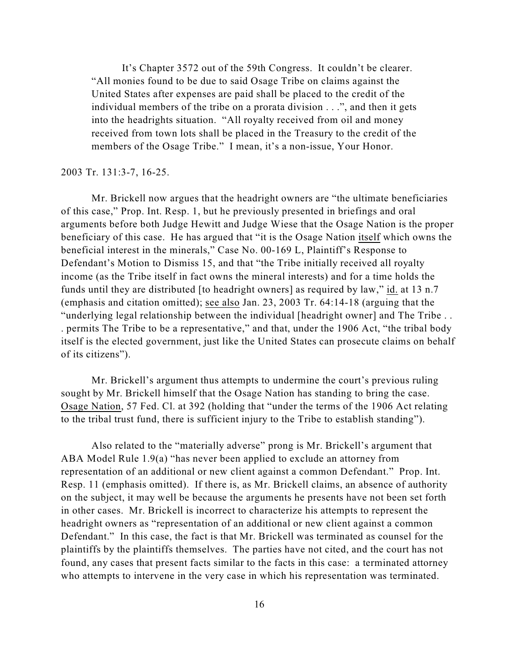It's Chapter 3572 out of the 59th Congress. It couldn't be clearer. "All monies found to be due to said Osage Tribe on claims against the United States after expenses are paid shall be placed to the credit of the individual members of the tribe on a prorata division . . .", and then it gets into the headrights situation. "All royalty received from oil and money received from town lots shall be placed in the Treasury to the credit of the members of the Osage Tribe." I mean, it's a non-issue, Your Honor.

#### 2003 Tr. 131:3-7, 16-25.

Mr. Brickell now argues that the headright owners are "the ultimate beneficiaries of this case," Prop. Int. Resp. 1, but he previously presented in briefings and oral arguments before both Judge Hewitt and Judge Wiese that the Osage Nation is the proper beneficiary of this case. He has argued that "it is the Osage Nation itself which owns the beneficial interest in the minerals," Case No. 00-169 L, Plaintiff's Response to Defendant's Motion to Dismiss 15, and that "the Tribe initially received all royalty income (as the Tribe itself in fact owns the mineral interests) and for a time holds the funds until they are distributed [to headright owners] as required by law," id. at 13 n.7 (emphasis and citation omitted); see also Jan. 23, 2003 Tr. 64:14-18 (arguing that the "underlying legal relationship between the individual [headright owner] and The Tribe . . . permits The Tribe to be a representative," and that, under the 1906 Act, "the tribal body itself is the elected government, just like the United States can prosecute claims on behalf of its citizens").

Mr. Brickell's argument thus attempts to undermine the court's previous ruling sought by Mr. Brickell himself that the Osage Nation has standing to bring the case. Osage Nation, 57 Fed. Cl. at 392 (holding that "under the terms of the 1906 Act relating to the tribal trust fund, there is sufficient injury to the Tribe to establish standing").

Also related to the "materially adverse" prong is Mr. Brickell's argument that ABA Model Rule 1.9(a) "has never been applied to exclude an attorney from representation of an additional or new client against a common Defendant." Prop. Int. Resp. 11 (emphasis omitted). If there is, as Mr. Brickell claims, an absence of authority on the subject, it may well be because the arguments he presents have not been set forth in other cases. Mr. Brickell is incorrect to characterize his attempts to represent the headright owners as "representation of an additional or new client against a common Defendant." In this case, the fact is that Mr. Brickell was terminated as counsel for the plaintiffs by the plaintiffs themselves. The parties have not cited, and the court has not found, any cases that present facts similar to the facts in this case: a terminated attorney who attempts to intervene in the very case in which his representation was terminated.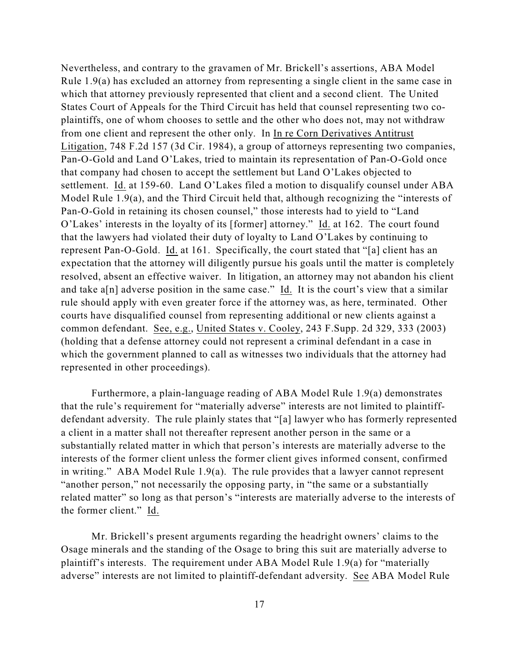Nevertheless, and contrary to the gravamen of Mr. Brickell's assertions, ABA Model Rule 1.9(a) has excluded an attorney from representing a single client in the same case in which that attorney previously represented that client and a second client. The United States Court of Appeals for the Third Circuit has held that counsel representing two coplaintiffs, one of whom chooses to settle and the other who does not, may not withdraw from one client and represent the other only. In In re Corn Derivatives Antitrust Litigation, 748 F.2d 157 (3d Cir. 1984), a group of attorneys representing two companies, Pan-O-Gold and Land O'Lakes, tried to maintain its representation of Pan-O-Gold once that company had chosen to accept the settlement but Land O'Lakes objected to settlement. Id. at 159-60. Land O'Lakes filed a motion to disqualify counsel under ABA Model Rule 1.9(a), and the Third Circuit held that, although recognizing the "interests of Pan-O-Gold in retaining its chosen counsel," those interests had to yield to "Land O'Lakes' interests in the loyalty of its [former] attorney." Id. at 162. The court found that the lawyers had violated their duty of loyalty to Land O'Lakes by continuing to represent Pan-O-Gold. Id. at 161. Specifically, the court stated that "[a] client has an expectation that the attorney will diligently pursue his goals until the matter is completely resolved, absent an effective waiver. In litigation, an attorney may not abandon his client and take a[n] adverse position in the same case." Id. It is the court's view that a similar rule should apply with even greater force if the attorney was, as here, terminated. Other courts have disqualified counsel from representing additional or new clients against a common defendant. See, e.g., United States v. Cooley, 243 F.Supp. 2d 329, 333 (2003) (holding that a defense attorney could not represent a criminal defendant in a case in which the government planned to call as witnesses two individuals that the attorney had represented in other proceedings).

Furthermore, a plain-language reading of ABA Model Rule 1.9(a) demonstrates that the rule's requirement for "materially adverse" interests are not limited to plaintiffdefendant adversity. The rule plainly states that "[a] lawyer who has formerly represented a client in a matter shall not thereafter represent another person in the same or a substantially related matter in which that person's interests are materially adverse to the interests of the former client unless the former client gives informed consent, confirmed in writing." ABA Model Rule 1.9(a). The rule provides that a lawyer cannot represent "another person," not necessarily the opposing party, in "the same or a substantially related matter" so long as that person's "interests are materially adverse to the interests of the former client." Id.

Mr. Brickell's present arguments regarding the headright owners' claims to the Osage minerals and the standing of the Osage to bring this suit are materially adverse to plaintiff's interests. The requirement under ABA Model Rule 1.9(a) for "materially adverse" interests are not limited to plaintiff-defendant adversity. See ABA Model Rule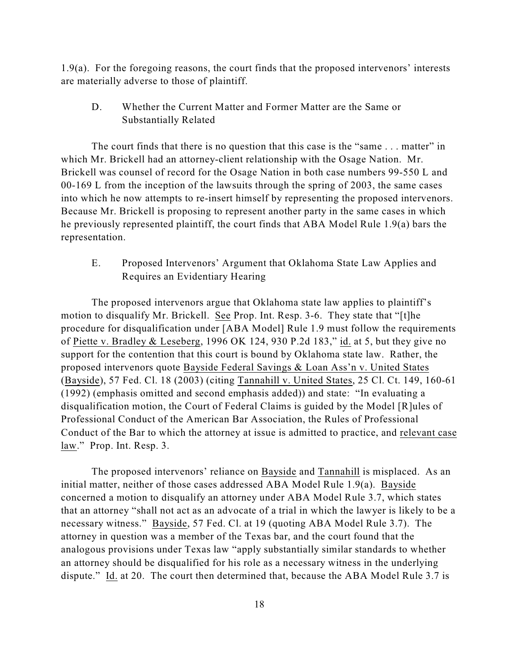1.9(a). For the foregoing reasons, the court finds that the proposed intervenors' interests are materially adverse to those of plaintiff.

D. Whether the Current Matter and Former Matter are the Same or Substantially Related

The court finds that there is no question that this case is the "same . . . matter" in which Mr. Brickell had an attorney-client relationship with the Osage Nation. Mr. Brickell was counsel of record for the Osage Nation in both case numbers 99-550 L and 00-169 L from the inception of the lawsuits through the spring of 2003, the same cases into which he now attempts to re-insert himself by representing the proposed intervenors. Because Mr. Brickell is proposing to represent another party in the same cases in which he previously represented plaintiff, the court finds that ABA Model Rule 1.9(a) bars the representation.

E. Proposed Intervenors' Argument that Oklahoma State Law Applies and Requires an Evidentiary Hearing

The proposed intervenors argue that Oklahoma state law applies to plaintiff's motion to disqualify Mr. Brickell. See Prop. Int. Resp. 3-6. They state that "[t]he procedure for disqualification under [ABA Model] Rule 1.9 must follow the requirements of Piette v. Bradley & Leseberg, 1996 OK 124, 930 P.2d 183," id. at 5, but they give no support for the contention that this court is bound by Oklahoma state law. Rather, the proposed intervenors quote Bayside Federal Savings & Loan Ass'n v. United States (Bayside), 57 Fed. Cl. 18 (2003) (citing Tannahill v. United States, 25 Cl. Ct. 149, 160-61 (1992) (emphasis omitted and second emphasis added)) and state: "In evaluating a disqualification motion, the Court of Federal Claims is guided by the Model [R]ules of Professional Conduct of the American Bar Association, the Rules of Professional Conduct of the Bar to which the attorney at issue is admitted to practice, and relevant case law." Prop. Int. Resp. 3.

The proposed intervenors' reliance on Bayside and Tannahill is misplaced. As an initial matter, neither of those cases addressed ABA Model Rule 1.9(a). Bayside concerned a motion to disqualify an attorney under ABA Model Rule 3.7, which states that an attorney "shall not act as an advocate of a trial in which the lawyer is likely to be a necessary witness." Bayside, 57 Fed. Cl. at 19 (quoting ABA Model Rule 3.7). The attorney in question was a member of the Texas bar, and the court found that the analogous provisions under Texas law "apply substantially similar standards to whether an attorney should be disqualified for his role as a necessary witness in the underlying dispute." Id. at 20. The court then determined that, because the ABA Model Rule 3.7 is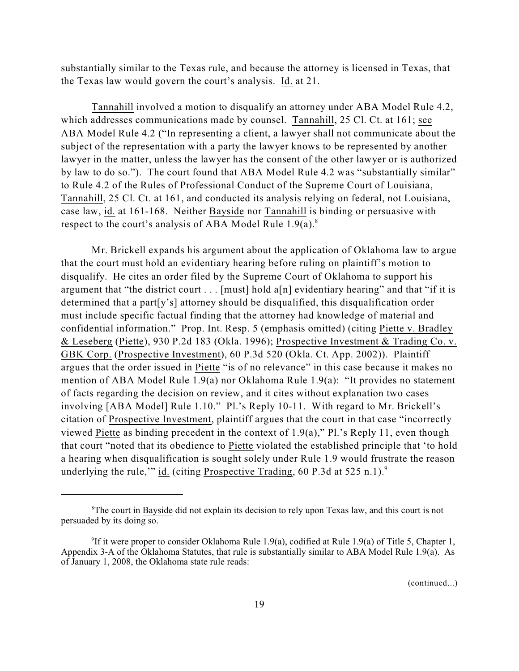substantially similar to the Texas rule, and because the attorney is licensed in Texas, that the Texas law would govern the court's analysis. Id. at 21.

Tannahill involved a motion to disqualify an attorney under ABA Model Rule 4.2, which addresses communications made by counsel. Tannahill, 25 Cl. Ct. at 161; see ABA Model Rule 4.2 ("In representing a client, a lawyer shall not communicate about the subject of the representation with a party the lawyer knows to be represented by another lawyer in the matter, unless the lawyer has the consent of the other lawyer or is authorized by law to do so."). The court found that ABA Model Rule 4.2 was "substantially similar" to Rule 4.2 of the Rules of Professional Conduct of the Supreme Court of Louisiana, Tannahill, 25 Cl. Ct. at 161, and conducted its analysis relying on federal, not Louisiana, case law, id. at 161-168. Neither Bayside nor Tannahill is binding or persuasive with respect to the court's analysis of ABA Model Rule  $1.9(a)$ .<sup>8</sup>

Mr. Brickell expands his argument about the application of Oklahoma law to argue that the court must hold an evidentiary hearing before ruling on plaintiff's motion to disqualify. He cites an order filed by the Supreme Court of Oklahoma to support his argument that "the district court . . . [must] hold a[n] evidentiary hearing" and that "if it is determined that a part[y's] attorney should be disqualified, this disqualification order must include specific factual finding that the attorney had knowledge of material and confidential information." Prop. Int. Resp. 5 (emphasis omitted) (citing Piette v. Bradley & Leseberg (Piette), 930 P.2d 183 (Okla. 1996); Prospective Investment & Trading Co. v. GBK Corp. (Prospective Investment), 60 P.3d 520 (Okla. Ct. App. 2002)). Plaintiff argues that the order issued in Piette "is of no relevance" in this case because it makes no mention of ABA Model Rule 1.9(a) nor Oklahoma Rule 1.9(a): "It provides no statement of facts regarding the decision on review, and it cites without explanation two cases involving [ABA Model] Rule 1.10." Pl.'s Reply 10-11. With regard to Mr. Brickell's citation of Prospective Investment, plaintiff argues that the court in that case "incorrectly viewed Piette as binding precedent in the context of 1.9(a)," Pl.'s Reply 11, even though that court "noted that its obedience to Piette violated the established principle that 'to hold a hearing when disqualification is sought solely under Rule 1.9 would frustrate the reason underlying the rule," id. (citing Prospective Trading, 60 P.3d at 525 n.1).<sup>9</sup>

<sup>&</sup>lt;sup>8</sup>The court in Bayside did not explain its decision to rely upon Texas law, and this court is not persuaded by its doing so.

<sup>&</sup>lt;sup>9</sup>If it were proper to consider Oklahoma Rule 1.9(a), codified at Rule 1.9(a) of Title 5, Chapter 1, Appendix 3-A of the Oklahoma Statutes, that rule is substantially similar to ABA Model Rule 1.9(a). As of January 1, 2008, the Oklahoma state rule reads: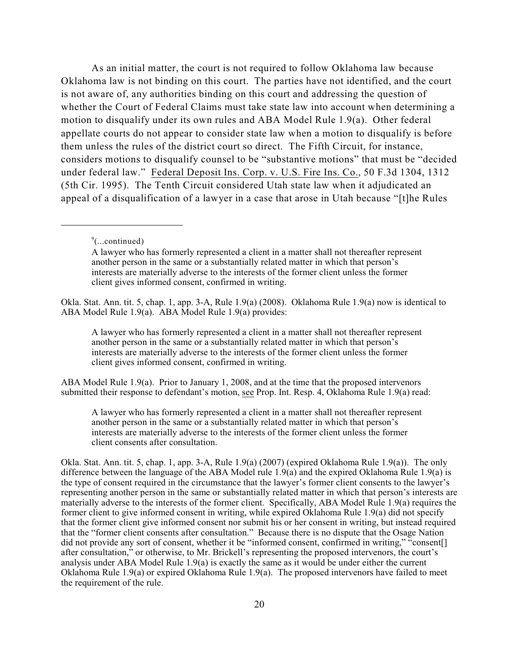As an initial matter, the court is not required to follow Oklahoma law because Oklahoma law is not binding on this court. The parties have not identified, and the court is not aware of, any authorities binding on this court and addressing the question of whether the Court of Federal Claims must take state law into account when determining a motion to disqualify under its own rules and ABA Model Rule 1.9(a). Other federal appellate courts do not appear to consider state law when a motion to disqualify is before them unless the rules of the district court so direct. The Fifth Circuit, for instance, considers motions to disqualify counsel to be "substantive motions" that must be "decided under federal law." Federal Deposit Ins. Corp. v. U.S. Fire Ins. Co., 50 F.3d 1304, 1312 (5th Cir. 1995). The Tenth Circuit considered Utah state law when it adjudicated an appeal of a disqualification of a lawyer in a case that arose in Utah because "[t]he Rules

Okla. Stat. Ann. tit. 5, chap. 1, app. 3-A, Rule 1.9(a) (2008). Oklahoma Rule 1.9(a) now is identical to ABA Model Rule 1.9(a). ABA Model Rule 1.9(a) provides:

A lawyer who has formerly represented a client in a matter shall not thereafter represent another person in the same or a substantially related matter in which that person's interests are materially adverse to the interests of the former client unless the former client gives informed consent, confirmed in writing.

ABA Model Rule 1.9(a). Prior to January 1, 2008, and at the time that the proposed intervenors submitted their response to defendant's motion, see Prop. Int. Resp. 4, Oklahoma Rule 1.9(a) read:

A lawyer who has formerly represented a client in a matter shall not thereafter represent another person in the same or a substantially related matter in which that person's interests are materially adverse to the interests of the former client unless the former client consents after consultation.

Okla. Stat. Ann. tit. 5, chap. 1, app. 3-A, Rule 1.9(a) (2007) (expired Oklahoma Rule 1.9(a)). The only difference between the language of the ABA Model rule 1.9(a) and the expired Oklahoma Rule 1.9(a) is the type of consent required in the circumstance that the lawyer's former client consents to the lawyer's representing another person in the same or substantially related matter in which that person's interests are materially adverse to the interests of the former client. Specifically, ABA Model Rule 1.9(a) requires the former client to give informed consent in writing, while expired Oklahoma Rule 1.9(a) did not specify that the former client give informed consent nor submit his or her consent in writing, but instead required that the "former client consents after consultation." Because there is no dispute that the Osage Nation did not provide any sort of consent, whether it be "informed consent, confirmed in writing," "consent[] after consultation," or otherwise, to Mr. Brickell's representing the proposed intervenors, the court's analysis under ABA Model Rule 1.9(a) is exactly the same as it would be under either the current Oklahoma Rule 1.9(a) or expired Oklahoma Rule 1.9(a). The proposed intervenors have failed to meet the requirement of the rule.

 $\degree$ (...continued)

A lawyer who has formerly represented a client in a matter shall not thereafter represent another person in the same or a substantially related matter in which that person's interests are materially adverse to the interests of the former client unless the former client gives informed consent, confirmed in writing.